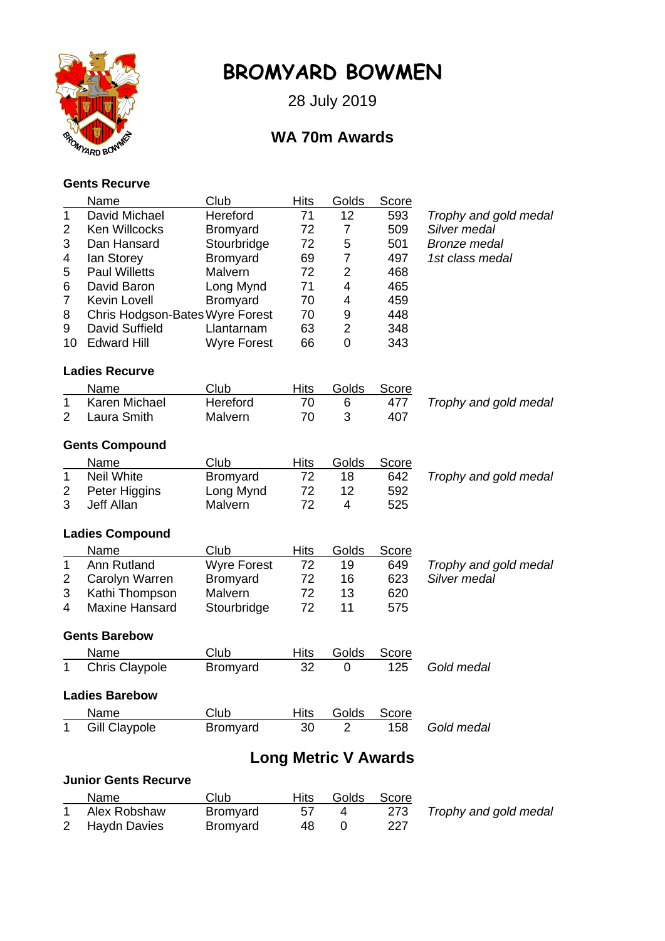

# **BROMYARD BOWMEN**

28 July 2019

## **WA 70m Awards**

### **Gents Recurve**

|                             | Name                            | Club               | <b>Hits</b> | Golds          | Score        |                       |  |  |
|-----------------------------|---------------------------------|--------------------|-------------|----------------|--------------|-----------------------|--|--|
| 1                           | David Michael                   | Hereford           | 71          | 12             | 593          | Trophy and gold medal |  |  |
| $\overline{2}$              | Ken Willcocks                   | <b>Bromyard</b>    | 72          | 7              | 509          | Silver medal          |  |  |
| 3                           | Dan Hansard                     | Stourbridge        | 72          | 5              | 501          | <b>Bronze</b> medal   |  |  |
| 4                           | lan Storey                      | Bromyard           | 69          | 7              | 497          | 1st class medal       |  |  |
| 5                           | <b>Paul Willetts</b>            | Malvern            | 72          | $\overline{2}$ | 468          |                       |  |  |
| 6                           | David Baron                     | Long Mynd          | 71          | 4              | 465          |                       |  |  |
| $\overline{7}$              | <b>Kevin Lovell</b>             | Bromyard           | 70          | 4              | 459          |                       |  |  |
| 8                           | Chris Hodgson-Bates Wyre Forest |                    | 70          | 9              | 448          |                       |  |  |
| 9                           | David Suffield                  | Llantarnam         | 63          | $\overline{2}$ | 348          |                       |  |  |
| 10                          | <b>Edward Hill</b>              | <b>Wyre Forest</b> | 66          | 0              | 343          |                       |  |  |
|                             | <b>Ladies Recurve</b>           |                    |             |                |              |                       |  |  |
|                             | Name                            | Club               | <b>Hits</b> | Golds          | Score        |                       |  |  |
| 1                           | Karen Michael                   | Hereford           | 70          | 6              | 477          | Trophy and gold medal |  |  |
| 2                           | Laura Smith                     | Malvern            | 70          | 3              | 407          |                       |  |  |
|                             | <b>Gents Compound</b>           |                    |             |                |              |                       |  |  |
|                             | Name                            | Club               | <b>Hits</b> | Golds          | Score        |                       |  |  |
| $\mathbf{1}$                | <b>Neil White</b>               | <b>Bromyard</b>    | 72          | 18             | 642          | Trophy and gold medal |  |  |
| 2                           | Peter Higgins                   | Long Mynd          | 72          | 12             | 592          |                       |  |  |
| 3                           | Jeff Allan                      | Malvern            | 72          | $\overline{4}$ | 525          |                       |  |  |
|                             | <b>Ladies Compound</b>          |                    |             |                |              |                       |  |  |
|                             | Name                            | Club               | <b>Hits</b> | Golds          | <b>Score</b> |                       |  |  |
| $\mathbf 1$                 | Ann Rutland                     | <b>Wyre Forest</b> | 72          | 19             | 649          | Trophy and gold medal |  |  |
| 2                           | Carolyn Warren                  | Bromyard           | 72          | 16             | 623          | Silver medal          |  |  |
| 3                           | Kathi Thompson                  | Malvern            | 72          | 13             | 620          |                       |  |  |
| 4                           | <b>Maxine Hansard</b>           | Stourbridge        | 72          | 11             | 575          |                       |  |  |
|                             | <b>Gents Barebow</b>            |                    |             |                |              |                       |  |  |
|                             | Name                            | Club               | <b>Hits</b> | <b>Golds</b>   | <b>Score</b> |                       |  |  |
| 1                           | <b>Chris Claypole</b>           | <b>Bromyard</b>    | 32          | 0              | 125          | Gold medal            |  |  |
| <b>Ladies Barebow</b>       |                                 |                    |             |                |              |                       |  |  |
|                             | Name                            | Club               | Hits        | <u>Golds</u>   | <b>Score</b> |                       |  |  |
| 1                           | <b>Gill Claypole</b>            | <b>Bromyard</b>    | 30          | 2              | 158          | Gold medal            |  |  |
|                             | <b>Long Metric V Awards</b>     |                    |             |                |              |                       |  |  |
| <b>Junior Gents Recurve</b> |                                 |                    |             |                |              |                       |  |  |
|                             |                                 |                    |             |                |              |                       |  |  |

| Name           | Club            | Hits | Golds Score |                           |
|----------------|-----------------|------|-------------|---------------------------|
| Alex Robshaw   | <b>Bromyard</b> | 57   |             | 273 Trophy and gold medal |
| 2 Haydn Davies | Bromyard        | 48.  | 227         |                           |